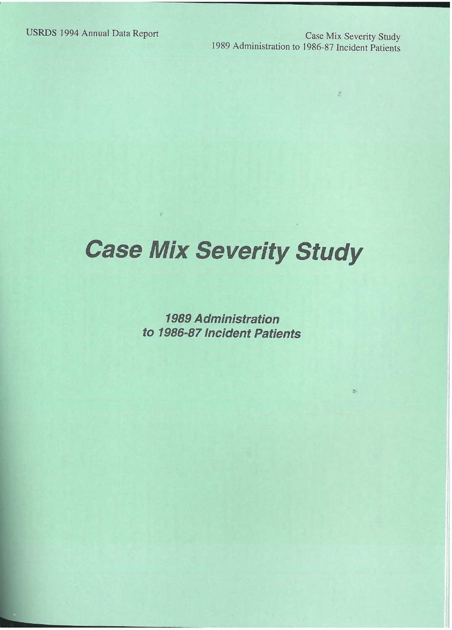USRDS 1994 Annual Data Report Case Mix Severity Study 1989 Administration to 1986-87 Incident Patients

ż

# **Case Mix Severity Study**

**1989 Administration to 1986-87 Incident Patients**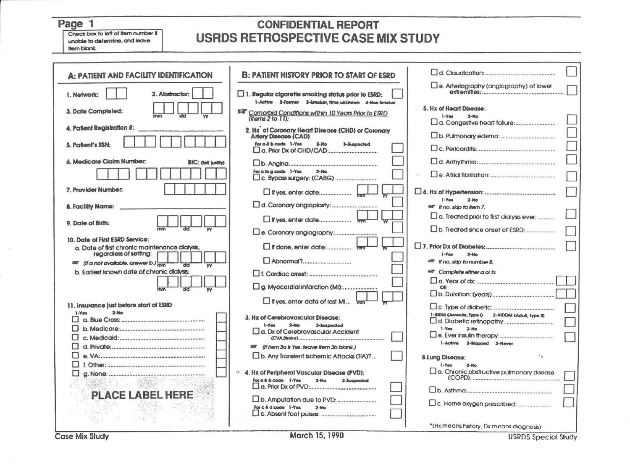#### Page 1

Check box to left of Item number If unable to determine, and leave Item blank.

#### **CONFIDENTIAL REPORT USRDS RETROSPECTIVE CASE MIX STUDY**

| A: PATIENT AND FACILITY IDENTIFICATION           | <b>B: PATIENT HISTORY PRIOR TO START OF ESRD</b>                                                                      |                                                    |
|--------------------------------------------------|-----------------------------------------------------------------------------------------------------------------------|----------------------------------------------------|
| 2. Abstractor:<br>1. Network:                    | $\square$ 1. Regular cigarette smoking status prior to ESRD:                                                          | $\square$ e. Arterlography (anglography) of lower  |
| 3. Date Completed:                               | 1-Active 2-Former 3-Smoker, time unknown 4-Nen Smoker<br><b>ESP</b> Comorbid Conditions within 10 Years Prior to ESRD | 5. Hx of Heart Disease:<br>$1 - Y$ ea<br>$2 - 860$ |
| 4. Patient Registration #:                       | $(hems 2 to 1))$ :<br>2. Hx <sup>'</sup> of Coronary Heart Disease (CHD) or Coronary                                  |                                                    |
| 5. Patient's SSN:                                | <b>Artery Disease (CAD)</b><br>For a & b code 1-Yes<br>$2-140$<br><b>3-Sunnacled</b>                                  |                                                    |
|                                                  |                                                                                                                       |                                                    |
| 6. Medicare Claim Number:<br>BIC: God hattivi    |                                                                                                                       |                                                    |
|                                                  | For c to a code 1-Yes<br>$2-M0$                                                                                       |                                                    |
| 7. Provider Number:                              |                                                                                                                       | $I - V$ ea<br>$2 - No$                             |
| 8. Facility Name:                                |                                                                                                                       | of <i>If no, skip to liem 7.</i>                   |
|                                                  |                                                                                                                       |                                                    |
| 9. Date of Birth:                                |                                                                                                                       | a. Treated prior to first dialysis ever:           |
|                                                  |                                                                                                                       |                                                    |
| 10. Date of First ESRD Service:                  |                                                                                                                       |                                                    |
| a. Date of first chronic maintenance dialysis,   | If done, enter date:                                                                                                  |                                                    |
| regardless of setting:                           |                                                                                                                       | $2 - No$<br>$1 - Y_{00}$                           |
| <sup>68</sup> (If a not available, answer b.) mm |                                                                                                                       | <sup>68</sup> If no, sidp to number 8.             |
| b. Earliest known date of chronic dialysis:      |                                                                                                                       | ear Complete either a or b:                        |
|                                                  |                                                                                                                       |                                                    |
| <b>VV</b>                                        |                                                                                                                       | OR                                                 |
|                                                  |                                                                                                                       |                                                    |
| 11. Insurance just before start of ESRD          | If yes, enter date of last MI mm                                                                                      |                                                    |
| $2-Mo$<br>$1-Yaa$                                |                                                                                                                       | 1-IDDM (Juvenile, Type 0 2-NIDDM (Adull, Type ID   |
| . .                                              | 3. Hx of Cerebrovascular Disease:                                                                                     |                                                    |
|                                                  | $1 - Y$ es<br>$2-Mo$<br>3-Suspecied<br>a. Dx of Cerebrovascular Accident                                              | $1-Yes$<br>$2 - MD$                                |
|                                                  |                                                                                                                       |                                                    |
|                                                  | all (if item 3a is Yes, leave item 3b blank.)                                                                         | 1-Active 2-Stopped 3-Never                         |
| п                                                | D. Any Translent Ischemic Attacks (TIA)?                                                                              | $\mathbb{R}$                                       |
|                                                  |                                                                                                                       | 8.Lung Disease:<br>$1 - Y$ es<br>$2 - N\alpha$     |
|                                                  | <sup>4</sup> 4. Hx of Peripheral Vascular Disease (PVD):                                                              | a. Chronic obstructive pulmonary disease           |
| □                                                | For a & b code I-Yes<br>$2-MO$<br>3-Sunnecled                                                                         |                                                    |
|                                                  |                                                                                                                       |                                                    |
| <b>PLACE LABEL HERE</b>                          |                                                                                                                       |                                                    |
|                                                  | For c & d code 1-Yes<br>$2-Mo$                                                                                        |                                                    |
|                                                  |                                                                                                                       |                                                    |
|                                                  |                                                                                                                       |                                                    |
|                                                  |                                                                                                                       | "(Hx means history, Dx means diagnosis)            |

Case Mix Study

**USRDS Special Study**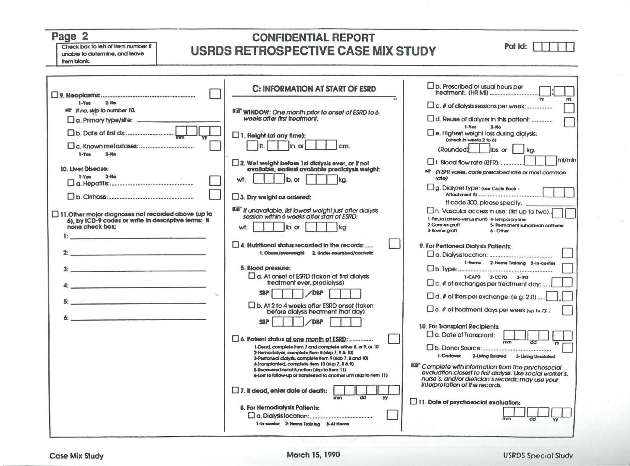### Page 2

Check box to left of Item number If unable to determine, and leave Item blank.

#### **CONFIDENTIAL REPORT USRDS RETROSPECTIVE CASE MIX STUDY**

Pat Id:  $\Box$ 

|                                                                                                                                                                                                                                | C: INFORMATION AT START OF ESRD                                                                                                                                                                                                                                                                                                                                                                                                                              | $\n  D$ . Prescribed or usual hours per                                                                                                                                                                                                                                                                   |
|--------------------------------------------------------------------------------------------------------------------------------------------------------------------------------------------------------------------------------|--------------------------------------------------------------------------------------------------------------------------------------------------------------------------------------------------------------------------------------------------------------------------------------------------------------------------------------------------------------------------------------------------------------------------------------------------------------|-----------------------------------------------------------------------------------------------------------------------------------------------------------------------------------------------------------------------------------------------------------------------------------------------------------|
| $2 - M0$<br>$1 - Y_{00}$<br>sar If no, sldp to number 10.<br>a. Primary type/site:                                                                                                                                             | Bill WINDOW: One month prior to onset of ESRD to 6<br>weeks after first treatment.                                                                                                                                                                                                                                                                                                                                                                           | a. Reuse of dialyzer in this patient:                                                                                                                                                                                                                                                                     |
| $2 - M0$<br>1-Yes                                                                                                                                                                                                              | $\Box$ 1. Height (at any time):<br>In.<br>$In. \alpha$                                                                                                                                                                                                                                                                                                                                                                                                       | $1-Yest$<br>$2-Mo$<br>$\square$ e. Highest weight loss during dialysis:<br>(check in weeks 2 to 6)<br>(Rounded)<br>lbs, or<br>ka.                                                                                                                                                                         |
| 10. Liver Disease:<br>$1 - V$ en<br>$2-Me$                                                                                                                                                                                     | $\square$ 2. Wet weight before 1st dialysis ever, or if not available, earliest available predialysis weight:<br>Ib. or<br>wt:<br>ka.                                                                                                                                                                                                                                                                                                                        | ml/mln<br>1. Blood flow rate (BFR):<br>sa (If BFR varies, code prescribed rate or most common<br>rate)                                                                                                                                                                                                    |
|                                                                                                                                                                                                                                | $\Box$ 3. Dry weight as ordered:                                                                                                                                                                                                                                                                                                                                                                                                                             | g. Dialyzer type: (see Code Book -<br>If code 300, please specify.                                                                                                                                                                                                                                        |
| $\Box$ 11.0ther major diagnoses not recorded above (up to<br>6), by ICD-9 codes or write in descriptive lerms: If<br>none check box:                                                                                           | <b>BS</b> If unavailable, list lowest weight just after dialysis<br>session within 6 weeks after start of ESRD:<br>ID. Of<br>ka:<br>wt.                                                                                                                                                                                                                                                                                                                      | n. Vascular access in use: (list up to two).<br>1-Fishula (arterio-versus shumi) 4-Temporary Ime<br>2-Goretex araft<br>5- Permanent subclowan catheter<br>3-Bovine graft<br>6 - Office                                                                                                                    |
| and the company of the company of the company of the company of the company of the company of the company of the                                                                                                               | 4. Nutritional status recorded in the records:<br>1. Obese/overweight 2. Under-nourished/cachetic                                                                                                                                                                                                                                                                                                                                                            | 9. For Peritoneal Dialysis Patients:<br>1-Horne 2-Horne Training 3-In-center                                                                                                                                                                                                                              |
| من المساحة التي تعدد المساحة التي يتم التي يتم التي يتم التي يتم التي يتم التي يتم التي يتم التي يتم<br>and the company of the company of the company of the company of the company of the company of the company of the       | 5. Blood pressure:<br>a. At onset of ESRD (taken at first dialysis<br>treatment ever, predialysis)                                                                                                                                                                                                                                                                                                                                                           | 1-CAPD 2-CCPD 3-IPD<br>$\Box$ c. $\ell$ of exchanges per treatment day:                                                                                                                                                                                                                                   |
| the contract of the contract of the contract of the contract of the contract of the contract of the contract of the contract of the contract of the contract of the contract of the contract of the contract of the contract o | <b>SBP</b><br>/DBP<br>□ b. At 2 to 4 weeks after ESRD onset (taken                                                                                                                                                                                                                                                                                                                                                                                           | □ d. # of Ilters per exchange: (e.g. 2.0).                                                                                                                                                                                                                                                                |
|                                                                                                                                                                                                                                | before diaysis treatment that day)<br><b>DBP</b><br><b>SBP</b>                                                                                                                                                                                                                                                                                                                                                                                               | $\square$ e. $\#$ of treatment days per week (up to $n$ ):<br>10. For Transplant Recipients:                                                                                                                                                                                                              |
|                                                                                                                                                                                                                                | 6. Patient status at one month of ESRD:<br>1-Dead, complete item 7 and complete either 8, or 9, or 10<br>2-Hernodickysks, complete item 8 (slop 7, 9 & 10)<br>3-Peritorneal clicitysis, complete item 9 (sidp 7, 8 and 10)<br>4-Transplanted, complete from 10 (skip 7, 8 & 9)<br>5-Recovered renal function (skip to item 11)<br>6-Lost to follow-up or transferred to another unit (skip to item 11)<br>$\Box$ 7. If dead, enter date of death:<br>mm<br>w | $\Box$ a. Date of Transplant:<br>mn<br>1-Codaver<br>2-Living Related 3-Living Unrelated<br><b>BB</b> Complete with Information from the psychosocial<br>evaluation closest to first dialysis. Use social worker's,<br>nurse's, and/or diefician's records; may use your<br>Interpretation of the records. |
|                                                                                                                                                                                                                                | 8. For Hernodialysis Patients:<br>1-In-center 2-Horns Training 3-At Horns                                                                                                                                                                                                                                                                                                                                                                                    | $\Box$ 11. Date of psychosocial evaluation:                                                                                                                                                                                                                                                               |